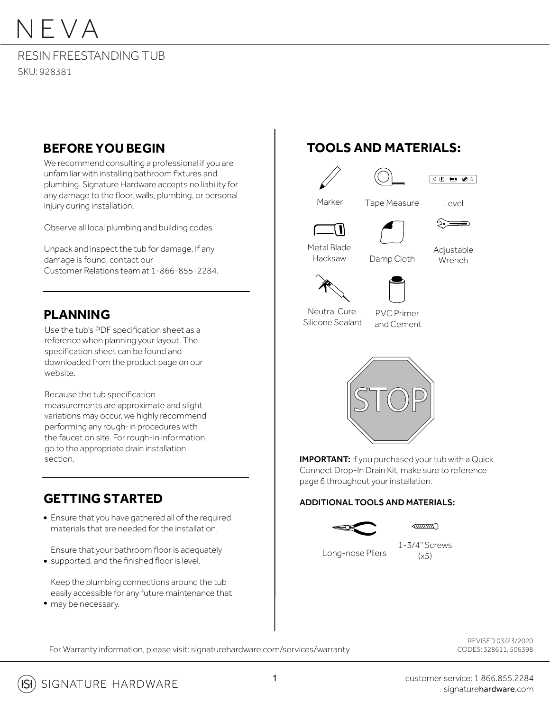#### RESIN FREESTANDING TUB SKU: 928381

### **BEFORE YOU BEGIN**

We recommend consulting a professional if you are unfamiliar with installing bathroom fixtures and plumbing. Signature Hardware accepts no liability for any damage to the floor, walls, plumbing, or personal injury during installation.

Observe all local plumbing and building codes.

Unpack and inspect the tub for damage. If any damage is found, contact our Customer Relations team at 1-866-855-2284.

### **PLANNING**

Use the tub's PDF specification sheet as a reference when planning your layout. The specification sheet can be found and downloaded from the product page on our website.

Because the tub specification measurements are approximate and slight variations may occur, we highly recommend performing any rough-in procedures with the faucet on site. For rough-in information, go to the appropriate drain installation section.

### **GETTING STARTED**

Ensure that you have gathered all of the required materials that are needed for the installation.

Ensure that your bathroom floor is adequately • supported, and the finished floor is level.

Keep the plumbing connections around the tub easily accessible for any future maintenance that • may be necessary.

### **TOOLS AND MATERIALS:**











⊱——

Metal Blade Hacksaw





Neutral Cure Silicone Sealant





**IMPORTANT:** If you purchased your tub with a Quick Connect Drop-In Drain Kit, make sure to reference page 6 throughout your installation.

#### ADDITIONAL TOOLS AND MATERIALS:

Long-nose Pliers



1-3/4" Screws  $(x5)$ 

For Warranty information, please visit: signaturehardware.com/services/warranty

REVISED 03/23/2020 CODES: 328611, 506398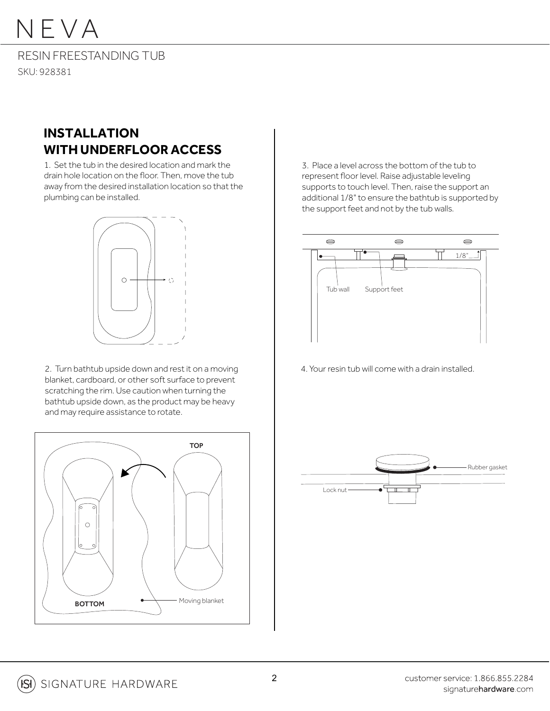RESIN FREESTANDING TUB SKU: 928381

### **INSTALLATION WITH UNDERFLOOR ACCESS**

1. Set the tub in the desired location and mark the drain hole location on the floor. Then, move the tub away from the desired installation location so that the plumbing can be installed.



2. Turn bathtub upside down and rest it on a moving 4. Your resin tub will come with a drain installed. blanket, cardboard, or other soft surface to prevent scratching the rim. Use caution when turning the bathtub upside down, as the product may be heavy and may require assistance to rotate.



3. Place a level across the bottom of the tub to represent floor level. Raise adjustable leveling supports to touch level. Then, raise the support an additional 1/8" to ensure the bathtub is supported by the support feet and not by the tub walls.



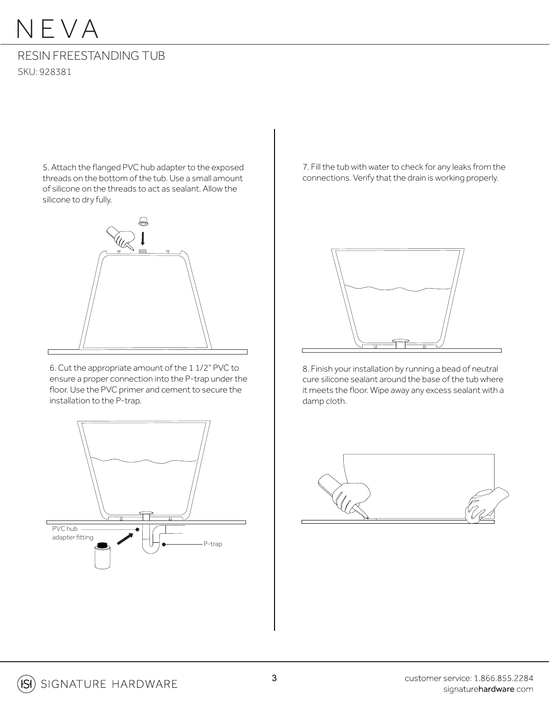### RESIN FREESTANDING TUB SKU: 928381

5. Attach the flanged PVC hub adapter to the exposed threads on the bottom of the tub. Use a small amount of silicone on the threads to act as sealant. Allow the silicone to dry fully.



6. Cut the appropriate amount of the 1 1/2" PVC to ensure a proper connection into the P-trap under the floor. Use the PVC primer and cement to secure the installation to the P-trap.



7. Fill the tub with water to check for any leaks from the connections. Verify that the drain is working properly.



8. Finish your installation by running a bead of neutral cure silicone sealant around the base of the tub where it meets the floor. Wipe away any excess sealant with a damp cloth.

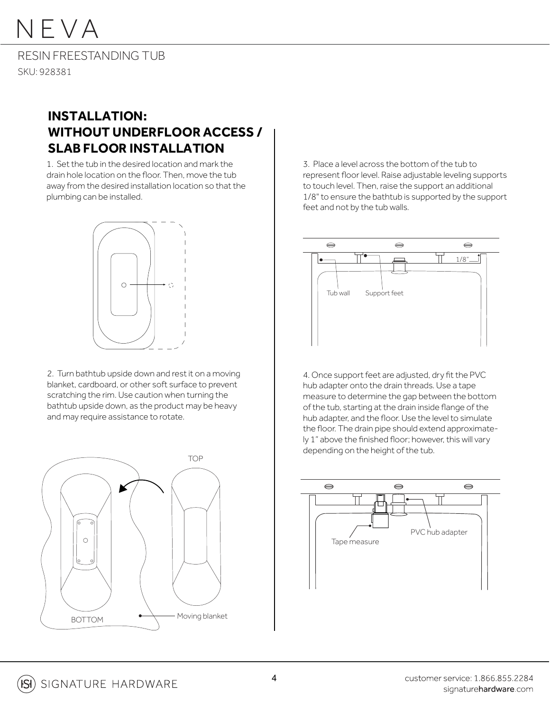RESIN FREESTANDING TUB SKU: 928381

### **INSTALLATION: WITHOUT UNDERFLOOR ACCESS / SLAB FLOOR INSTALLATION**

1. Set the tub in the desired location and mark the drain hole location on the floor. Then, move the tub away from the desired installation location so that the plumbing can be installed.



2. Turn bathtub upside down and rest it on a moving blanket, cardboard, or other soft surface to prevent scratching the rim. Use caution when turning the bathtub upside down, as the product may be heavy and may require assistance to rotate.



3. Place a level across the bottom of the tub to represent floor level. Raise adjustable leveling supports to touch level. Then, raise the support an additional 1/8" to ensure the bathtub is supported by the support feet and not by the tub walls.



4. Once support feet are adjusted, dry fit the PVC hub adapter onto the drain threads. Use a tape measure to determine the gap between the bottom of the tub, starting at the drain inside flange of the hub adapter, and the floor. Use the level to simulate the floor. The drain pipe should extend approximately 1" above the finished floor; however, this will vary depending on the height of the tub.

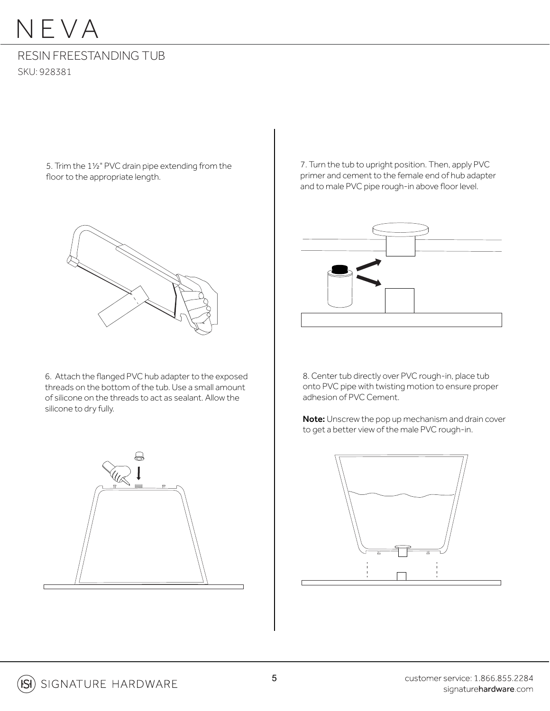#### RESIN FREESTANDING TUB SKU: 928381

5. Trim the 1½" PVC drain pipe extending from the floor to the appropriate length.



6. Attach the flanged PVC hub adapter to the exposed threads on the bottom of the tub. Use a small amount of silicone on the threads to act as sealant. Allow the silicone to dry fully.



7. Turn the tub to upright position. Then, apply PVC primer and cement to the female end of hub adapter and to male PVC pipe rough-in above floor level.



8. Center tub directly over PVC rough-in, place tub onto PVC pipe with twisting motion to ensure proper adhesion of PVC Cement.

Note: Unscrew the pop up mechanism and drain cover to get a better view of the male PVC rough-in.

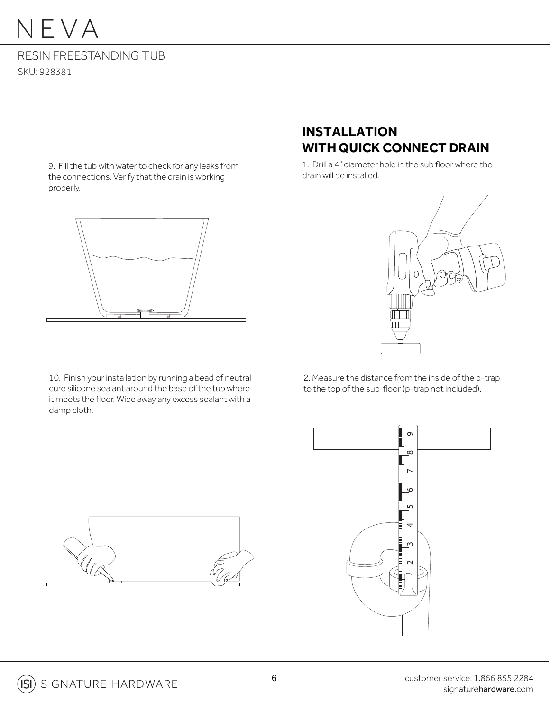### RESIN FREESTANDING TUB SKU: 928381

9. Fill the tub with water to check for any leaks from the connections. Verify that the drain is working properly.



10. Finish your installation by running a bead of neutral cure silicone sealant around the base of the tub where it meets the floor. Wipe away any excess sealant with a damp cloth.

### **INSTALLATION WITH QUICK CONNECT DRAIN**

1. Drill a 4" diameter hole in the sub floor where the drain will be installed.



2. Measure the distance from the inside of the p-trap to the top of the sub floor (p-trap not included).



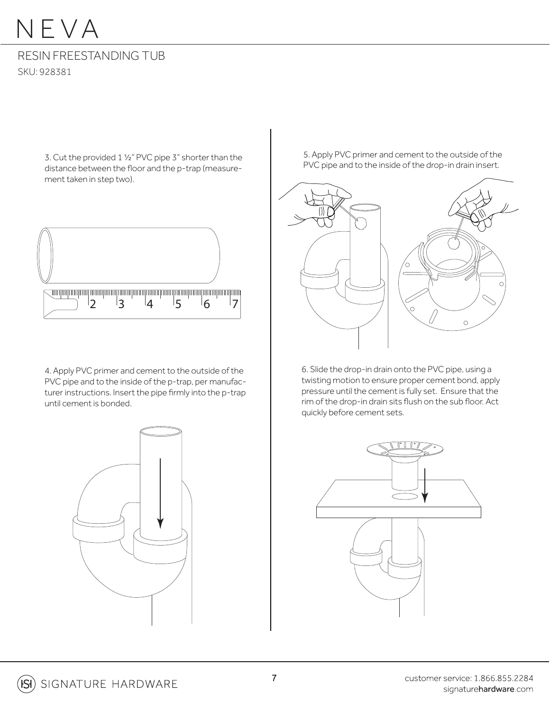#### RESIN FREESTANDING TUB SKU: 928381

3. Cut the provided 1 ½" PVC pipe 3" shorter than the distance between the floor and the p-trap (measurement taken in step two).



4. Apply PVC primer and cement to the outside of the PVC pipe and to the inside of the p-trap, per manufacturer instructions. Insert the pipe firmly into the p-trap until cement is bonded.



5. Apply PVC primer and cement to the outside of the PVC pipe and to the inside of the drop-in drain insert.



6. Slide the drop-in drain onto the PVC pipe, using a twisting motion to ensure proper cement bond, apply pressure until the cement is fully set. Ensure that the rim of the drop-in drain sits flush on the sub floor. Act quickly before cement sets.

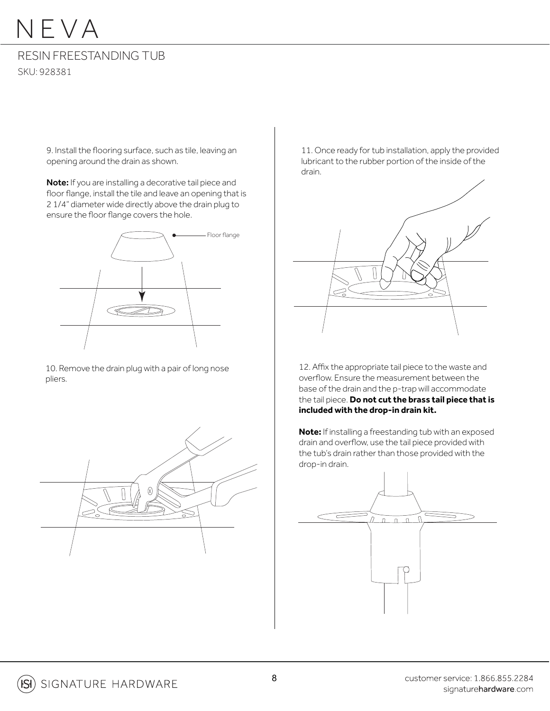#### RESIN FREESTANDING TUB SKU: 928381

9. Install the flooring surface, such as tile, leaving an opening around the drain as shown.

Note: If you are installing a decorative tail piece and floor flange, install the tile and leave an opening that is 2 1/4" diameter wide directly above the drain plug to ensure the floor flange covers the hole.



10. Remove the drain plug with a pair of long nose pliers.



11. Once ready for tub installation, apply the provided lubricant to the rubber portion of the inside of the drain.



12. Affix the appropriate tail piece to the waste and overflow. Ensure the measurement between the base of the drain and the p-trap will accommodate the tail piece. **Do not cut the brass tail piece that is included with the drop-in drain kit.**

**Note:** If installing a freestanding tub with an exposed drain and overflow, use the tail piece provided with the tub's drain rather than those provided with the drop-in drain.

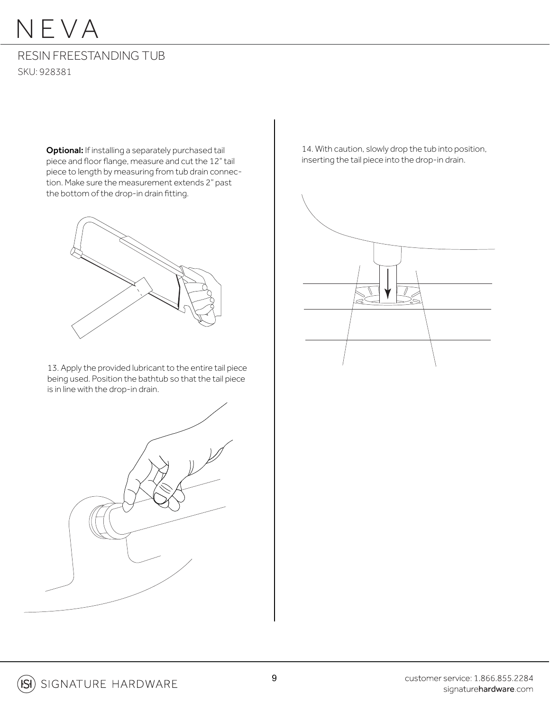#### RESIN FREESTANDING TUB SKU: 928381

Optional: If installing a separately purchased tail piece and floor flange, measure and cut the 12" tail piece to length by measuring from tub drain connection. Make sure the measurement extends 2" past the bottom of the drop-in drain fitting.



13. Apply the provided lubricant to the entire tail piece being used. Position the bathtub so that the tail piece is in line with the drop-in drain.



14. With caution, slowly drop the tub into position, inserting the tail piece into the drop-in drain.